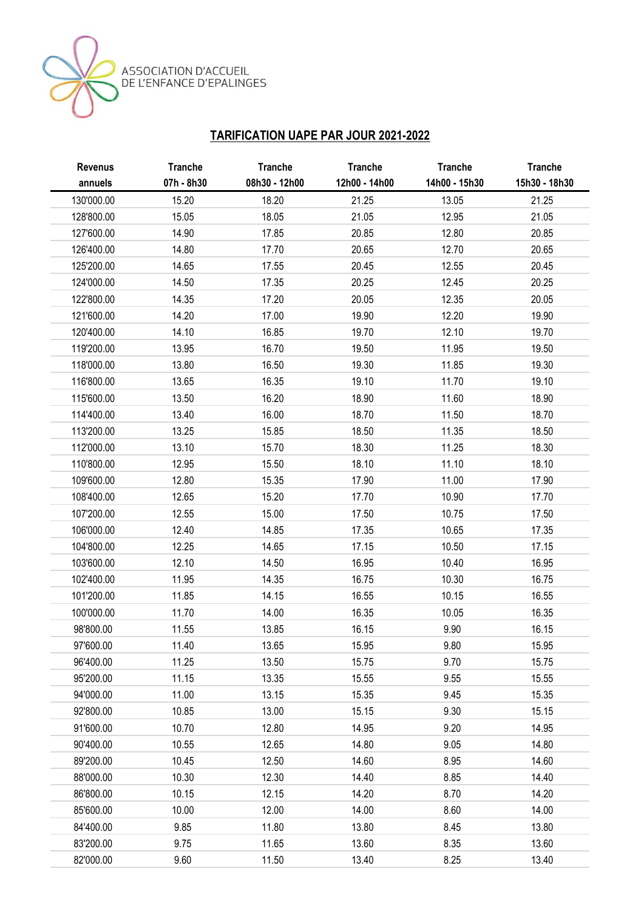ASSOCIATION D'ACCUEIL<br>DE L'ENFANCE D'EPALINGES

## **TARIFICATION UAPE PAR JOUR 2021-2022**

| <b>Revenus</b> | <b>Tranche</b> | <b>Tranche</b> | <b>Tranche</b> | <b>Tranche</b> | <b>Tranche</b> |
|----------------|----------------|----------------|----------------|----------------|----------------|
| annuels        | 07h - 8h30     | 08h30 - 12h00  | 12h00 - 14h00  | 14h00 - 15h30  | 15h30 - 18h30  |
| 130'000.00     | 15.20          | 18.20          | 21.25          | 13.05          | 21.25          |
| 128'800.00     | 15.05          | 18.05          | 21.05          | 12.95          | 21.05          |
| 127'600.00     | 14.90          | 17.85          | 20.85          | 12.80          | 20.85          |
| 126'400.00     | 14.80          | 17.70          | 20.65          | 12.70          | 20.65          |
| 125'200.00     | 14.65          | 17.55          | 20.45          | 12.55          | 20.45          |
| 124'000.00     | 14.50          | 17.35          | 20.25          | 12.45          | 20.25          |
| 122'800.00     | 14.35          | 17.20          | 20.05          | 12.35          | 20.05          |
| 121'600.00     | 14.20          | 17.00          | 19.90          | 12.20          | 19.90          |
| 120'400.00     | 14.10          | 16.85          | 19.70          | 12.10          | 19.70          |
| 119'200.00     | 13.95          | 16.70          | 19.50          | 11.95          | 19.50          |
| 118'000.00     | 13.80          | 16.50          | 19.30          | 11.85          | 19.30          |
| 116'800.00     | 13.65          | 16.35          | 19.10          | 11.70          | 19.10          |
| 115'600.00     | 13.50          | 16.20          | 18.90          | 11.60          | 18.90          |
| 114'400.00     | 13.40          | 16.00          | 18.70          | 11.50          | 18.70          |
| 113'200.00     | 13.25          | 15.85          | 18.50          | 11.35          | 18.50          |
| 112'000.00     | 13.10          | 15.70          | 18.30          | 11.25          | 18.30          |
| 110'800.00     | 12.95          | 15.50          | 18.10          | 11.10          | 18.10          |
| 109'600.00     | 12.80          | 15.35          | 17.90          | 11.00          | 17.90          |
| 108'400.00     | 12.65          | 15.20          | 17.70          | 10.90          | 17.70          |
| 107'200.00     | 12.55          | 15.00          | 17.50          | 10.75          | 17.50          |
| 106'000.00     | 12.40          | 14.85          | 17.35          | 10.65          | 17.35          |
| 104'800.00     | 12.25          | 14.65          | 17.15          | 10.50          | 17.15          |
| 103'600.00     | 12.10          | 14.50          | 16.95          | 10.40          | 16.95          |
| 102'400.00     | 11.95          | 14.35          | 16.75          | 10.30          | 16.75          |
| 101'200.00     | 11.85          | 14.15          | 16.55          | 10.15          | 16.55          |
| 100'000.00     | 11.70          | 14.00          | 16.35          | 10.05          | 16.35          |
| 98'800.00      | 11.55          | 13.85          | 16.15          | 9.90           | 16.15          |
| 97'600.00      | 11.40          | 13.65          | 15.95          | 9.80           | 15.95          |
| 96'400.00      | 11.25          | 13.50          | 15.75          | 9.70           | 15.75          |
| 95'200.00      | 11.15          | 13.35          | 15.55          | 9.55           | 15.55          |
| 94'000.00      | 11.00          | 13.15          | 15.35          | 9.45           | 15.35          |
| 92'800.00      | 10.85          | 13.00          | 15.15          | 9.30           | 15.15          |
| 91'600.00      | 10.70          | 12.80          | 14.95          | 9.20           | 14.95          |
| 90'400.00      | 10.55          | 12.65          | 14.80          | 9.05           | 14.80          |
| 89'200.00      | 10.45          | 12.50          | 14.60          | 8.95           | 14.60          |
| 88'000.00      | 10.30          | 12.30          | 14.40          | 8.85           | 14.40          |
| 86'800.00      | 10.15          | 12.15          | 14.20          | 8.70           | 14.20          |
| 85'600.00      | 10.00          | 12.00          | 14.00          | 8.60           | 14.00          |
| 84'400.00      | 9.85           | 11.80          | 13.80          | 8.45           | 13.80          |
| 83'200.00      | 9.75           | 11.65          | 13.60          | 8.35           | 13.60          |
| 82'000.00      | 9.60           | 11.50          | 13.40          | 8.25           | 13.40          |